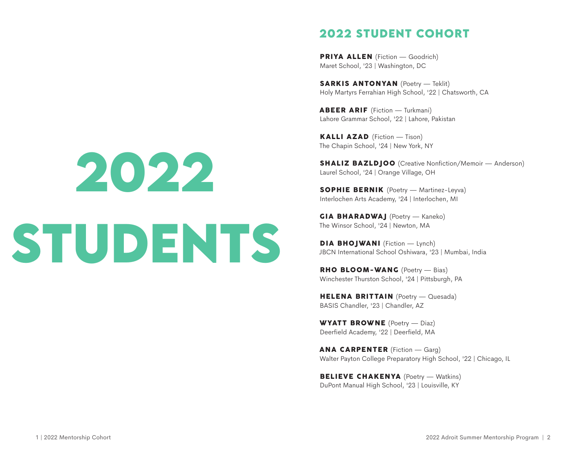PRIYA ALLEN (Fiction - Goodrich) Maret School, '23 | Washington, DC

SARKIS ANTONYAN (Poetry - Teklit) Holy Martyrs Ferrahian High School, '22 | Chatsworth, CA

ABEER ARIF (Fiction — Turkmani) Lahore Grammar School, '22 | Lahore, Pakistan

KALLI AZAD (Fiction — Tison) The Chapin School, '24 | New York, NY

**SHALIZ BAZLDJOO** (Creative Nonfiction/Memoir — Anderson) Laurel School, '24 | Orange Village, OH

SOPHIE BERNIK (Poetry — Martinez-Leyva) Interlochen Arts Academy, '24 | Interlochen, MI

GIA BHARADWAJ (Poetry — Kaneko) The Winsor School, '24 | Newton, MA

DIA BHOJWANI (Fiction - Lynch) JBCN International School Oshiwara, '23 | Mumbai, India

RHO BLOOM-WANG (Poetry - Bias) Winchester Thurston School, '24 | Pittsburgh, PA

HELENA BRITTAIN (Poetry — Quesada) BASIS Chandler, '23 | Chandler, AZ

WYATT BROWNE (Poetry — Diaz) Deerfield Academy, '22 | Deerfield, MA

ANA CARPENTER (Fiction — Garg) Walter Payton College Preparatory High School, '22 | Chicago, IL

BELIEVE CHAKENYA (Poetry - Watkins) DuPont Manual High School, '23 | Louisville, KY

# **2022 STUDENTS**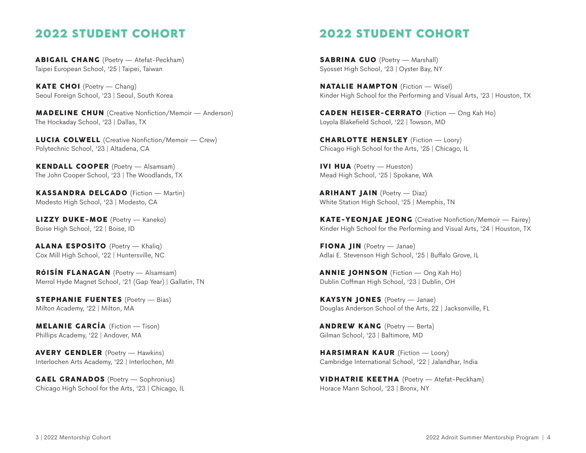ABIGAIL CHANG (Poetry — Atefat-Peckham) Taipei European School, '25 | Taipei, Taiwan

KATE CHOI (Poetry — Chang) Seoul Foreign School, '23 | Seoul, South Korea

**MADELINE CHUN** (Creative Nonfiction/Memoir — Anderson) The Hockaday School, '23 | Dallas, TX

LUCIA COLWELL (Creative Nonfiction/Memoir — Crew) Polytechnic School, '23 | Altadena, CA

KENDALL COOPER (Poetry — Alsamsam) The John Cooper School, '23 | The Woodlands, TX

KASSANDRA DELGADO (Fiction — Martin) Modesto High School, '23 | Modesto, CA

LIZZY DUKE-MOE (Poetry — Kaneko) Boise High School, '22 | Boise, ID

ALANA ESPOSITO (Poetry — Khaliq) Cox Mill High School, '22 | Huntersville, NC

RÓISÍN FLANAGAN (Poetry — Alsamsam) Merrol Hyde Magnet School, '21 (Gap Year) | Gallatin, TN

STEPHANIE FUENTES (Poetry — Bias) Milton Academy, '22 | Milton, MA

MELANIE GARCÍA (Fiction — Tison) Phillips Academy, '22 | Andover, MA

AVERY GENDLER (Poetry — Hawkins) Interlochen Arts Academy, '22 | Interlochen, MI

GAEL GRANADOS (Poetry — Sophronius) Chicago High School for the Arts, '23 | Chicago, IL

# **2022 STUDENT COHORT**

SABRINA GUO (Poetry — Marshall) Syosset High School, '23 | Oyster Bay, NY

NATALIE HAMPTON (Fiction — Wisel) Kinder High School for the Performing and Visual Arts, '23 | Houston, TX

CADEN HEISER-CERRATO (Fiction — Ong Kah Ho) Loyola Blakefield School, '22 | Towson, MD

CHARLOTTE HENSLEY (Fiction — Loory) Chicago High School for the Arts, '25 | Chicago, IL

IVI HUA (Poetry — Hueston) Mead High School, '25 | Spokane, WA

ARIHANT JAIN (Poetry — Diaz) White Station High School, '25 | Memphis, TN

KATE-YEONJAE JEONG (Creative Nonfiction/Memoir — Fairey) Kinder High School for the Performing and Visual Arts, '24 | Houston, TX

FIONA JIN (Poetry — Janae) Adlai E. Stevenson High School, '25 | Bufalo Grove, IL

ANNIE JOHNSON (Fiction — Ong Kah Ho) Dublin Cofman High School, '23 | Dublin, OH

KAYSYN JONES (Poetry — Janae) Douglas Anderson School of the Arts, 22 | Jacksonville, FL

ANDREW KANG (Poetry — Berta) Gilman School, '23 | Baltimore, MD

HARSIMRAN KAUR (Fiction - Loory) Cambridge International School, '22 | Jalandhar, India

VIDHATRIE KEETHA (Poetry — Atefat-Peckham) Horace Mann School, '23 | Bronx, NY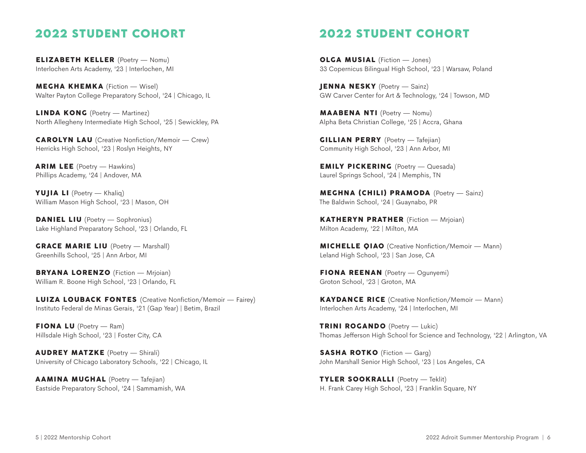ELIZABETH KELLER (Poetry — Nomu) Interlochen Arts Academy, '23 | Interlochen, MI

MEGHA KHEMKA (Fiction — Wisel) Walter Payton College Preparatory School, '24 | Chicago, IL

LINDA KONG (Poetry — Martinez) North Allegheny Intermediate High School, '25 | Sewickley, PA

**CAROLYN LAU** (Creative Nonfiction/Memoir — Crew) Herricks High School, '23 | Roslyn Heights, NY

ARIM LEE (Poetry — Hawkins) Phillips Academy, '24 | Andover, MA

YUJIA LI (Poetry — Khaliq) William Mason High School, '23 | Mason, OH

DANIEL LIU (Poetry — Sophronius) Lake Highland Preparatory School, '23 | Orlando, FL

GRACE MARIE LIU (Poetry — Marshall) Greenhills School, '25 | Ann Arbor, MI

BRYANA LORENZO (Fiction — Mrjoian) William R. Boone High School, '23 | Orlando, FL

LUIZA LOUBACK FONTES (Creative Nonfiction/Memoir — Fairey) Instituto Federal de Minas Gerais, '21 (Gap Year) | Betim, Brazil

FIONA LU (Poetry — Ram) Hillsdale High School, '23 | Foster City, CA

AUDREY MATZKE (Poetry — Shirali) University of Chicago Laboratory Schools, '22 | Chicago, IL

AAMINA MUGHAL (Poetry — Tafejian) Eastside Preparatory School, '24 | Sammamish, WA

# **2022 STUDENT COHORT**

OLGA MUSIAL (Fiction — Jones) 33 Copernicus Bilingual High School, '23 | Warsaw, Poland

JENNA NESKY (Poetry — Sainz) GW Carver Center for Art & Technology, '24 | Towson, MD

MAABENA NTI (Poetry — Nomu) Alpha Beta Christian College, '25 | Accra, Ghana

GILLIAN PERRY (Poetry — Tafejian) Community High School, '23 | Ann Arbor, MI

EMILY PICKERING (Poetry - Quesada) Laurel Springs School, '24 | Memphis, TN

MEGHNA (CHILI) PRAMODA (Poetry — Sainz) The Baldwin School, '24 | Guaynabo, PR

KATHERYN PRATHER (Fiction — Mrjoian) Milton Academy, '22 | Milton, MA

**MICHELLE QIAO** (Creative Nonfiction/Memoir — Mann) Leland High School, '23 | San Jose, CA

FIONA REENAN (Poetry — Ogunyemi) Groton School, '23 | Groton, MA

**KAYDANCE RICE** (Creative Nonfiction/Memoir — Mann) Interlochen Arts Academy, '24 | Interlochen, MI

TRINI ROGANDO (Poetry — Lukic) Thomas Jeferson High School for Science and Technology, '22 | Arlington, VA

SASHA ROTKO (Fiction - Garg) John Marshall Senior High School, '23 | Los Angeles, CA

TYLER SOOKRALLI (Poetry — Teklit) H. Frank Carey High School, '23 | Franklin Square, NY